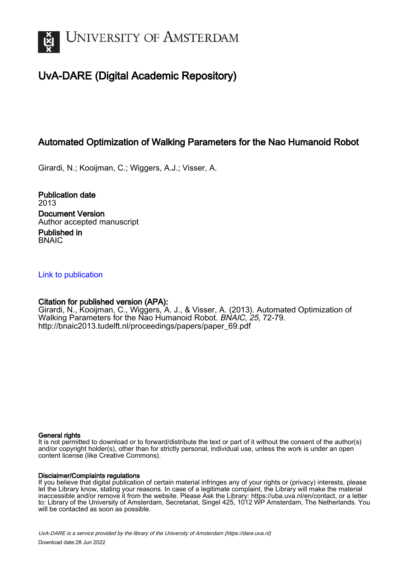

# UvA-DARE (Digital Academic Repository)

# Automated Optimization of Walking Parameters for the Nao Humanoid Robot

Girardi, N.; Kooijman, C.; Wiggers, A.J.; Visser, A.

Publication date 2013 Document Version Author accepted manuscript

Published in **BNAIC** 

# [Link to publication](https://dare.uva.nl/personal/pure/en/publications/automated-optimization-of-walking-parameters-for-the-nao-humanoid-robot(8c280ce2-a937-4438-aa54-83168f42a644).html)

# Citation for published version (APA):

Girardi, N., Kooijman, C., Wiggers, A. J., & Visser, A. (2013). Automated Optimization of Walking Parameters for the Nao Humanoid Robot. BNAIC, 25, 72-79. [http://bnaic2013.tudelft.nl/proceedings/papers/paper\\_69.pdf](http://bnaic2013.tudelft.nl/proceedings/papers/paper_69.pdf)

#### General rights

It is not permitted to download or to forward/distribute the text or part of it without the consent of the author(s) and/or copyright holder(s), other than for strictly personal, individual use, unless the work is under an open content license (like Creative Commons).

#### Disclaimer/Complaints regulations

If you believe that digital publication of certain material infringes any of your rights or (privacy) interests, please let the Library know, stating your reasons. In case of a legitimate complaint, the Library will make the material inaccessible and/or remove it from the website. Please Ask the Library: https://uba.uva.nl/en/contact, or a letter to: Library of the University of Amsterdam, Secretariat, Singel 425, 1012 WP Amsterdam, The Netherlands. You will be contacted as soon as possible.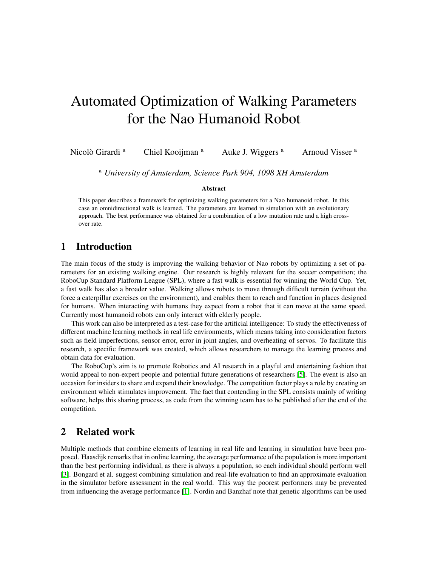# Automated Optimization of Walking Parameters for the Nao Humanoid Robot

Nicolò Girardi<sup>a</sup> Chiel Kooijman <sup>a</sup> Auke J. Wiggers <sup>a</sup> Arnoud Visser <sup>a</sup>

<sup>a</sup> *University of Amsterdam, Science Park 904, 1098 XH Amsterdam*

#### Abstract

This paper describes a framework for optimizing walking parameters for a Nao humanoid robot. In this case an omnidirectional walk is learned. The parameters are learned in simulation with an evolutionary approach. The best performance was obtained for a combination of a low mutation rate and a high crossover rate.

# 1 Introduction

The main focus of the study is improving the walking behavior of Nao robots by optimizing a set of parameters for an existing walking engine. Our research is highly relevant for the soccer competition; the RoboCup Standard Platform League (SPL), where a fast walk is essential for winning the World Cup. Yet, a fast walk has also a broader value. Walking allows robots to move through difficult terrain (without the force a caterpillar exercises on the environment), and enables them to reach and function in places designed for humans. When interacting with humans they expect from a robot that it can move at the same speed. Currently most humanoid robots can only interact with elderly people.

This work can also be interpreted as a test-case for the artificial intelligence: To study the effectiveness of different machine learning methods in real life environments, which means taking into consideration factors such as field imperfections, sensor error, error in joint angles, and overheating of servos. To facilitate this research, a specific framework was created, which allows researchers to manage the learning process and obtain data for evaluation.

The RoboCup's aim is to promote Robotics and AI research in a playful and entertaining fashion that would appeal to non-expert people and potential future generations of researchers [\[5\]](#page-8-0). The event is also an occasion for insiders to share and expand their knowledge. The competition factor plays a role by creating an environment which stimulates improvement. The fact that contending in the SPL consists mainly of writing software, helps this sharing process, as code from the winning team has to be published after the end of the competition.

# 2 Related work

Multiple methods that combine elements of learning in real life and learning in simulation have been proposed. Haasdijk remarks that in online learning, the average performance of the population is more important than the best performing individual, as there is always a population, so each individual should perform well [\[3\]](#page-8-1). Bongard et al. suggest combining simulation and real-life evaluation to find an approximate evaluation in the simulator before assessment in the real world. This way the poorest performers may be prevented from influencing the average performance [\[1\]](#page-8-2). Nordin and Banzhaf note that genetic algorithms can be used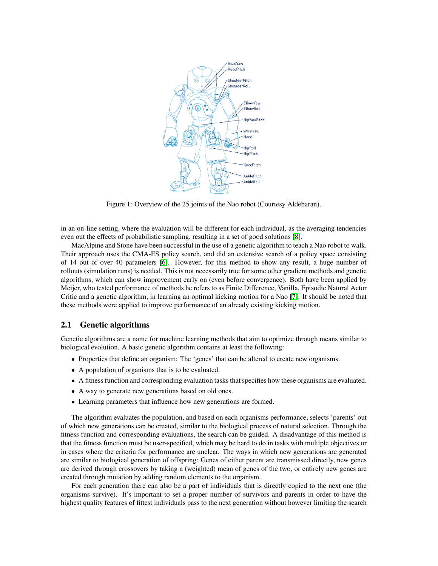<span id="page-2-0"></span>

Figure 1: Overview of the 25 joints of the Nao robot (Courtesy Aldebaran).

in an on-line setting, where the evaluation will be different for each individual, as the averaging tendencies even out the effects of probabilistic sampling, resulting in a set of good solutions [\[8\]](#page-8-3).

MacAlpine and Stone have been successful in the use of a genetic algorithm to teach a Nao robot to walk. Their approach uses the CMA-ES policy search, and did an extensive search of a policy space consisting of 14 out of over 40 parameters [\[6\]](#page-8-4). However, for this method to show any result, a huge number of rollouts (simulation runs) is needed. This is not necessarily true for some other gradient methods and genetic algorithms, which can show improvement early on (even before convergence). Both have been applied by Meijer, who tested performance of methods he refers to as Finite Difference, Vanilla, Episodic Natural Actor Critic and a genetic algorithm, in learning an optimal kicking motion for a Nao [\[7\]](#page-8-5). It should be noted that these methods were applied to improve performance of an already existing kicking motion.

#### 2.1 Genetic algorithms

Genetic algorithms are a name for machine learning methods that aim to optimize through means similar to biological evolution. A basic genetic algorithm contains at least the following:

- Properties that define an organism: The 'genes' that can be altered to create new organisms.
- A population of organisms that is to be evaluated.
- A fitness function and corresponding evaluation tasks that specifies how these organisms are evaluated.
- A way to generate new generations based on old ones.
- Learning parameters that influence how new generations are formed.

The algorithm evaluates the population, and based on each organisms performance, selects 'parents' out of which new generations can be created, similar to the biological process of natural selection. Through the fitness function and corresponding evaluations, the search can be guided. A disadvantage of this method is that the fitness function must be user-specified, which may be hard to do in tasks with multiple objectives or in cases where the criteria for performance are unclear. The ways in which new generations are generated are similar to biological generation of offspring: Genes of either parent are transmissed directly, new genes are derived through crossovers by taking a (weighted) mean of genes of the two, or entirely new genes are created through mutation by adding random elements to the organism.

For each generation there can also be a part of individuals that is directly copied to the next one (the organisms survive). It's important to set a proper number of survivors and parents in order to have the highest quality features of fittest individuals pass to the next generation without however limiting the search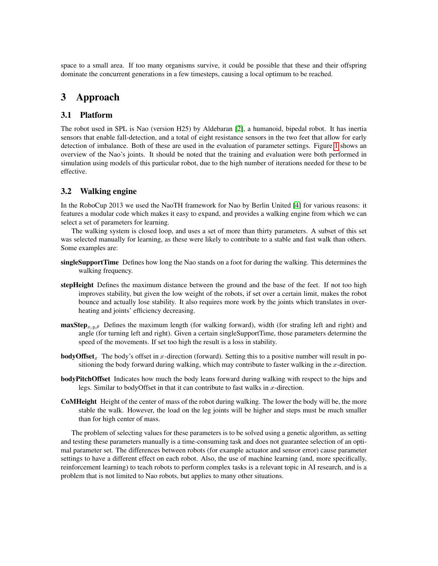space to a small area. If too many organisms survive, it could be possible that these and their offspring dominate the concurrent generations in a few timesteps, causing a local optimum to be reached.

# 3 Approach

### 3.1 Platform

The robot used in SPL is Nao (version H25) by Aldebaran [\[2\]](#page-8-6), a humanoid, bipedal robot. It has inertia sensors that enable fall-detection, and a total of eight resistance sensors in the two feet that allow for early detection of imbalance. Both of these are used in the evaluation of parameter settings. Figure [1](#page-2-0) shows an overview of the Nao's joints. It should be noted that the training and evaluation were both performed in simulation using models of this particular robot, due to the high number of iterations needed for these to be effective.

## 3.2 Walking engine

In the RoboCup 2013 we used the NaoTH framework for Nao by Berlin United [\[4\]](#page-8-7) for various reasons: it features a modular code which makes it easy to expand, and provides a walking engine from which we can select a set of parameters for learning.

The walking system is closed loop, and uses a set of more than thirty parameters. A subset of this set was selected manually for learning, as these were likely to contribute to a stable and fast walk than others. Some examples are:

- singleSupportTime Defines how long the Nao stands on a foot for during the walking. This determines the walking frequency.
- stepHeight Defines the maximum distance between the ground and the base of the feet. If not too high improves stability, but given the low weight of the robots, if set over a certain limit, makes the robot bounce and actually lose stability. It also requires more work by the joints which translates in overheating and joints' efficiency decreasing.
- $\maxStep_{x,y,\theta}$  Defines the maximum length (for walking forward), width (for strafing left and right) and angle (for turning left and right). Given a certain singleSupportTime, those parameters determine the speed of the movements. If set too high the result is a loss in stability.
- **bodyOffset**<sub>x</sub> The body's offset in x-direction (forward). Setting this to a positive number will result in positioning the body forward during walking, which may contribute to faster walking in the  $x$ -direction.
- bodyPitchOffset Indicates how much the body leans forward during walking with respect to the hips and legs. Similar to bodyOffset in that it can contribute to fast walks in  $x$ -direction.
- CoMHeight Height of the center of mass of the robot during walking. The lower the body will be, the more stable the walk. However, the load on the leg joints will be higher and steps must be much smaller than for high center of mass.

The problem of selecting values for these parameters is to be solved using a genetic algorithm, as setting and testing these parameters manually is a time-consuming task and does not guarantee selection of an optimal parameter set. The differences between robots (for example actuator and sensor error) cause parameter settings to have a different effect on each robot. Also, the use of machine learning (and, more specifically, reinforcement learning) to teach robots to perform complex tasks is a relevant topic in AI research, and is a problem that is not limited to Nao robots, but applies to many other situations.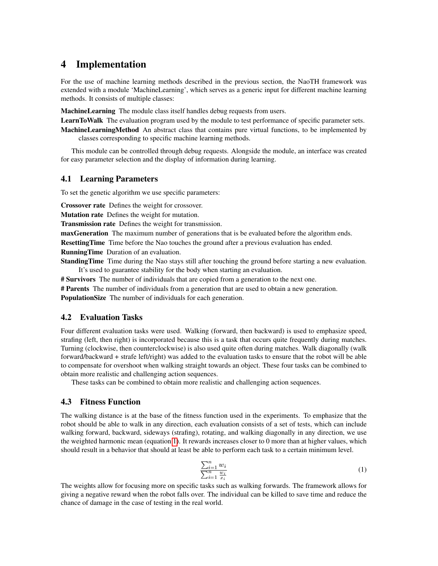# 4 Implementation

For the use of machine learning methods described in the previous section, the NaoTH framework was extended with a module 'MachineLearning', which serves as a generic input for different machine learning methods. It consists of multiple classes:

MachineLearning The module class itself handles debug requests from users.

LearnToWalk The evaluation program used by the module to test performance of specific parameter sets.

MachineLearningMethod An abstract class that contains pure virtual functions, to be implemented by classes corresponding to specific machine learning methods.

This module can be controlled through debug requests. Alongside the module, an interface was created for easy parameter selection and the display of information during learning.

#### 4.1 Learning Parameters

To set the genetic algorithm we use specific parameters:

Crossover rate Defines the weight for crossover.

Mutation rate Defines the weight for mutation.

Transmission rate Defines the weight for transmission.

maxGeneration The maximum number of generations that is be evaluated before the algorithm ends.

ResettingTime Time before the Nao touches the ground after a previous evaluation has ended.

RunningTime Duration of an evaluation.

**StandingTime** Time during the Nao stays still after touching the ground before starting a new evaluation. It's used to guarantee stability for the body when starting an evaluation.

# Survivors The number of individuals that are copied from a generation to the next one.

**# Parents** The number of individuals from a generation that are used to obtain a new generation.

PopulationSize The number of individuals for each generation.

#### 4.2 Evaluation Tasks

Four different evaluation tasks were used. Walking (forward, then backward) is used to emphasize speed, strafing (left, then right) is incorporated because this is a task that occurs quite frequently during matches. Turning (clockwise, then counterclockwise) is also used quite often during matches. Walk diagonally (walk forward/backward + strafe left/right) was added to the evaluation tasks to ensure that the robot will be able to compensate for overshoot when walking straight towards an object. These four tasks can be combined to obtain more realistic and challenging action sequences.

These tasks can be combined to obtain more realistic and challenging action sequences.

#### 4.3 Fitness Function

The walking distance is at the base of the fitness function used in the experiments. To emphasize that the robot should be able to walk in any direction, each evaluation consists of a set of tests, which can include walking forward, backward, sideways (strafing), rotating, and walking diagonally in any direction, we use the weighted harmonic mean (equation [1\)](#page-4-0). It rewards increases closer to 0 more than at higher values, which should result in a behavior that should at least be able to perform each task to a certain minimum level.

<span id="page-4-0"></span>
$$
\frac{\sum_{i=1}^{n} w_i}{\sum_{i=1}^{n} \frac{w_i}{x_i}} \tag{1}
$$

The weights allow for focusing more on specific tasks such as walking forwards. The framework allows for giving a negative reward when the robot falls over. The individual can be killed to save time and reduce the chance of damage in the case of testing in the real world.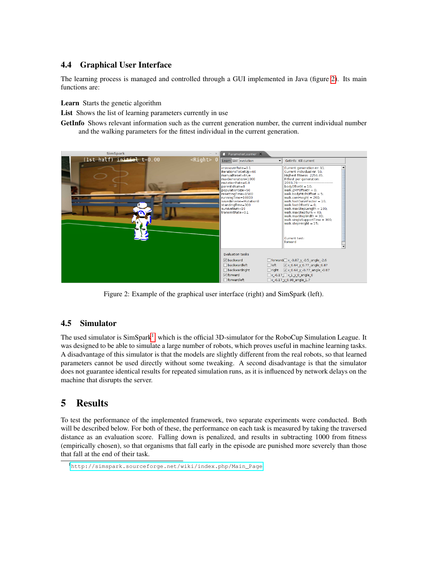# 4.4 Graphical User Interface

The learning process is managed and controlled through a GUI implemented in Java (figure [2\)](#page-5-0). Its main functions are:

Learn Starts the genetic algorithm

List Shows the list of learning parameters currently in use

GetInfo Shows relevant information such as the current generation number, the current individual number and the walking parameters for the fittest individual in the current generation.

<span id="page-5-0"></span>

Figure 2: Example of the graphical user interface (right) and SimSpark (left).

## 4.5 Simulator

The used simulator is  $SimSpark<sup>1</sup>$  $SimSpark<sup>1</sup>$  $SimSpark<sup>1</sup>$ , which is the official 3D-simulator for the RoboCup Simulation League. It was designed to be able to simulate a large number of robots, which proves useful in machine learning tasks. A disadvantage of this simulator is that the models are slightly different from the real robots, so that learned parameters cannot be used directly without some tweaking. A second disadvantage is that the simulator does not guarantee identical results for repeated simulation runs, as it is influenced by network delays on the machine that disrupts the server.

# 5 Results

To test the performance of the implemented framework, two separate experiments were conducted. Both will be described below. For both of these, the performance on each task is measured by taking the traversed distance as an evaluation score. Falling down is penalized, and results in subtracting 1000 from fitness (empirically chosen), so that organisms that fall early in the episode are punished more severely than those that fall at the end of their task.

<span id="page-5-1"></span><sup>1</sup>[http://simspark.sourceforge.net/wiki/index.php/Main\\_Page](http://simspark.sourceforge.net/wiki/index.php/Main_Page)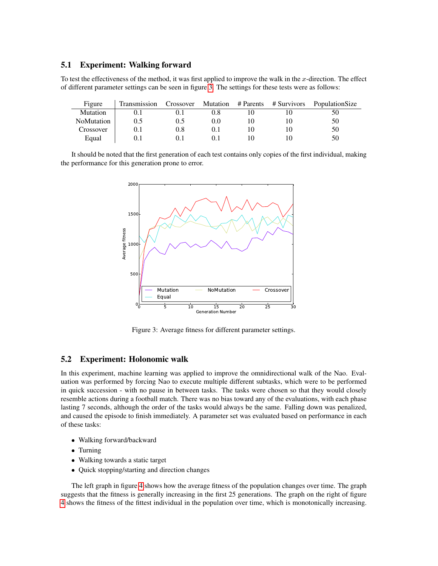### 5.1 Experiment: Walking forward

To test the effectiveness of the method, it was first applied to improve the walk in the x-direction. The effect of different parameter settings can be seen in figure [3.](#page-6-0) The settings for these tests were as follows:

| Figure            | Transmission | Crossover | <b>Mutation</b> | # Parents | # Survivors | PopulationSize |
|-------------------|--------------|-----------|-----------------|-----------|-------------|----------------|
| Mutation          | U. I         |           |                 |           |             | 50             |
| <b>NoMutation</b> | 0.5          | 0.5       | 0.0             |           |             | 50             |
| Crossover         | 0.1          | 0.8       |                 |           |             | 50             |
| Equal             |              |           |                 |           |             | 50             |

<span id="page-6-0"></span>It should be noted that the first generation of each test contains only copies of the first individual, making the performance for this generation prone to error.



Figure 3: Average fitness for different parameter settings.

### 5.2 Experiment: Holonomic walk

In this experiment, machine learning was applied to improve the omnidirectional walk of the Nao. Evaluation was performed by forcing Nao to execute multiple different subtasks, which were to be performed in quick succession - with no pause in between tasks. The tasks were chosen so that they would closely resemble actions during a football match. There was no bias toward any of the evaluations, with each phase lasting 7 seconds, although the order of the tasks would always be the same. Falling down was penalized, and caused the episode to finish immediately. A parameter set was evaluated based on performance in each of these tasks:

- Walking forward/backward
- Turning
- Walking towards a static target
- Quick stopping/starting and direction changes

The left graph in figure [4](#page-7-0) shows how the average fitness of the population changes over time. The graph suggests that the fitness is generally increasing in the first 25 generations. The graph on the right of figure [4](#page-7-0) shows the fitness of the fittest individual in the population over time, which is monotonically increasing.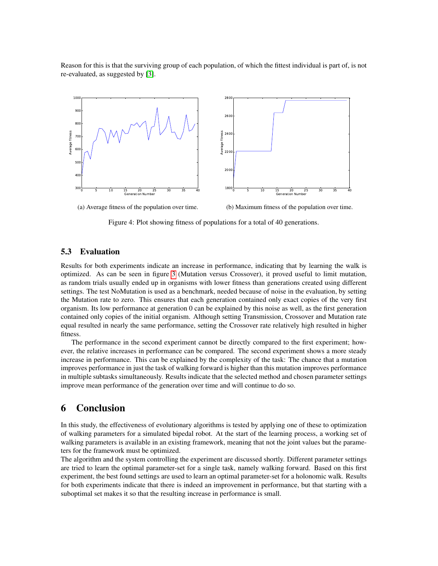Reason for this is that the surviving group of each population, of which the fittest individual is part of, is not re-evaluated, as suggested by [\[3\]](#page-8-1).

<span id="page-7-0"></span>

Figure 4: Plot showing fitness of populations for a total of 40 generations.

#### 5.3 Evaluation

Results for both experiments indicate an increase in performance, indicating that by learning the walk is optimized. As can be seen in figure [3](#page-6-0) (Mutation versus Crossover), it proved useful to limit mutation, as random trials usually ended up in organisms with lower fitness than generations created using different settings. The test NoMutation is used as a benchmark, needed because of noise in the evaluation, by setting the Mutation rate to zero. This ensures that each generation contained only exact copies of the very first organism. Its low performance at generation 0 can be explained by this noise as well, as the first generation contained only copies of the initial organism. Although setting Transmission, Crossover and Mutation rate equal resulted in nearly the same performance, setting the Crossover rate relatively high resulted in higher fitness.

The performance in the second experiment cannot be directly compared to the first experiment; however, the relative increases in performance can be compared. The second experiment shows a more steady increase in performance. This can be explained by the complexity of the task: The chance that a mutation improves performance in just the task of walking forward is higher than this mutation improves performance in multiple subtasks simultaneously. Results indicate that the selected method and chosen parameter settings improve mean performance of the generation over time and will continue to do so.

## 6 Conclusion

In this study, the effectiveness of evolutionary algorithms is tested by applying one of these to optimization of walking parameters for a simulated bipedal robot. At the start of the learning process, a working set of walking parameters is available in an existing framework, meaning that not the joint values but the parameters for the framework must be optimized.

The algorithm and the system controlling the experiment are discussed shortly. Different parameter settings are tried to learn the optimal parameter-set for a single task, namely walking forward. Based on this first experiment, the best found settings are used to learn an optimal parameter-set for a holonomic walk. Results for both experiments indicate that there is indeed an improvement in performance, but that starting with a suboptimal set makes it so that the resulting increase in performance is small.